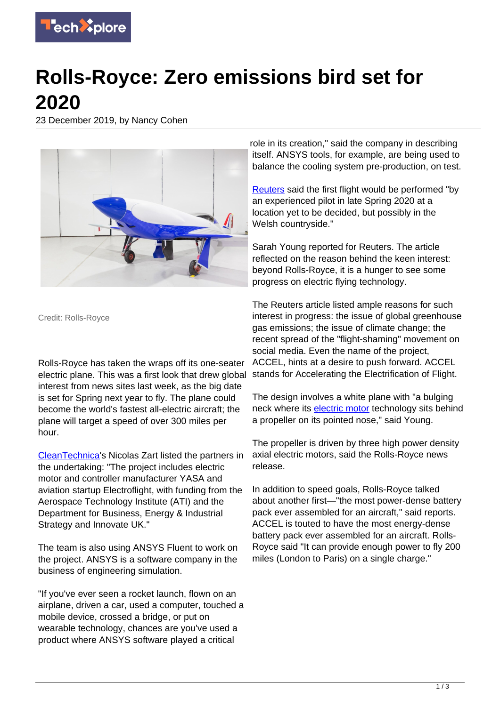

## **Rolls-Royce: Zero emissions bird set for 2020**

23 December 2019, by Nancy Cohen



Credit: Rolls-Royce

Rolls-Royce has taken the wraps off its one-seater electric plane. This was a first look that drew global interest from news sites last week, as the big date is set for Spring next year to fly. The plane could become the world's fastest all-electric aircraft; the plane will target a speed of over 300 miles per hour.

[CleanTechnica](https://cleantechnica.com/2019/12/20/rolls-royce-electric-airplane-unveiled-ready-to-race/)'s Nicolas Zart listed the partners in the undertaking: "The project includes electric motor and controller manufacturer YASA and aviation startup Electroflight, with funding from the Aerospace Technology Institute (ATI) and the Department for Business, Energy & Industrial Strategy and Innovate UK."

The team is also using ANSYS Fluent to work on the project. ANSYS is a software company in the business of engineering simulation.

"If you've ever seen a rocket launch, flown on an airplane, driven a car, used a computer, touched a mobile device, crossed a bridge, or put on wearable technology, chances are you've used a product where ANSYS software played a critical

role in its creation," said the company in describing itself. ANSYS tools, for example, are being used to balance the cooling system pre-production, on test.

[Reuters](https://www.reuters.com/article/us-rolls-royce-hldg-electric-planes/rolls-royce-gives-first-look-at-one-seater-electric-plane-idUSKBN1YN1PU) said the first flight would be performed "by an experienced pilot in late Spring 2020 at a location yet to be decided, but possibly in the Welsh countryside."

Sarah Young reported for Reuters. The article reflected on the reason behind the keen interest: beyond Rolls-Royce, it is a hunger to see some progress on electric flying technology.

The Reuters article listed ample reasons for such interest in progress: the issue of global greenhouse gas emissions; the issue of climate change; the recent spread of the "flight-shaming" movement on social media. Even the name of the project, ACCEL, hints at a desire to push forward. ACCEL stands for Accelerating the Electrification of Flight.

The design involves a white plane with "a bulging neck where its [electric motor](https://techxplore.com/tags/electric+motor/) technology sits behind a propeller on its pointed nose," said Young.

The propeller is driven by three high power density axial electric motors, said the Rolls-Royce news release.

In addition to speed goals, Rolls-Royce talked about another first—"the most power-dense battery pack ever assembled for an aircraft," said reports. ACCEL is touted to have the most energy-dense battery pack ever assembled for an aircraft. Rolls-Royce said "It can provide enough power to fly 200 miles (London to Paris) on a single charge."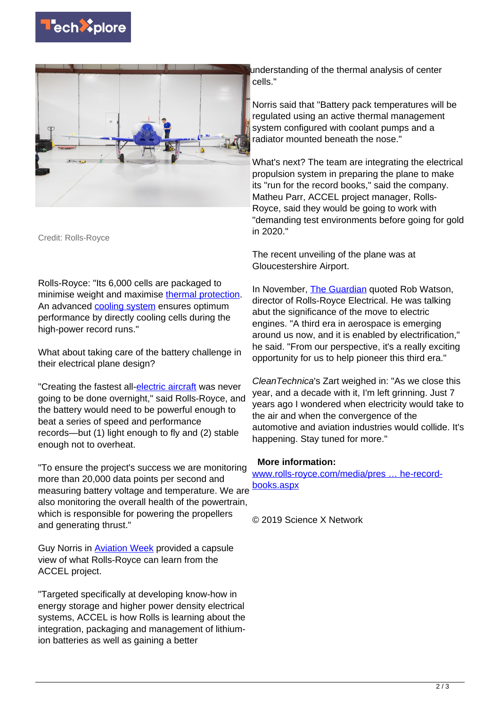



Credit: Rolls-Royce

Rolls-Royce: "Its 6,000 cells are packaged to minimise weight and maximise [thermal protection.](https://techxplore.com/tags/thermal+protection/) An advanced [cooling system](https://techxplore.com/tags/cooling+system/) ensures optimum performance by directly cooling cells during the high-power record runs."

What about taking care of the battery challenge in their electrical plane design?

"Creating the fastest all[-electric aircraft](https://techxplore.com/tags/electric+aircraft/) was never going to be done overnight," said Rolls-Royce, and the battery would need to be powerful enough to beat a series of speed and performance records—but (1) light enough to fly and (2) stable enough not to overheat.

"To ensure the project's success we are monitoring more than 20,000 data points per second and measuring battery voltage and temperature. We are also monitoring the overall health of the powertrain, which is responsible for powering the propellers and generating thrust."

Guy Norris in [Aviation Week](https://aviationweek.com/business-aviation/rolls-royce-unveils-all-electric-accel-aircraft) provided a capsule view of what Rolls-Royce can learn from the ACCEL project.

"Targeted specifically at developing know-how in energy storage and higher power density electrical systems, ACCEL is how Rolls is learning about the integration, packaging and management of lithiumion batteries as well as gaining a better

understanding of the thermal analysis of center cells."

Norris said that "Battery pack temperatures will be regulated using an active thermal management system configured with coolant pumps and a radiator mounted beneath the nose."

What's next? The team are integrating the electrical propulsion system in preparing the plane to make its "run for the record books," said the company. Matheu Parr, ACCEL project manager, Rolls-Royce, said they would be going to work with "demanding test environments before going for gold in 2020."

The recent unveiling of the plane was at Gloucestershire Airport.

In November, [The Guardian](https://www.theguardian.com/science/2019/nov/24/can-we-fly-and-have-net-zero-emissions-air-industry-e-fan-x-rolls-royce-engines-kerosine-carbon-2050) quoted Rob Watson, director of Rolls-Royce Electrical. He was talking abut the significance of the move to electric engines. "A third era in aerospace is emerging around us now, and it is enabled by electrification," he said. "From our perspective, it's a really exciting opportunity for us to help pioneer this third era."

CleanTechnica's Zart weighed in: "As we close this year, and a decade with it, I'm left grinning. Just 7 years ago I wondered when electricity would take to the air and when the convergence of the automotive and aviation industries would collide. It's happening. Stay tuned for more."

## **More information:**

[www.rolls-royce.com/media/pres … he-record](https://www.rolls-royce.com/media/press-releases/2019/19-12-2019-rr-unveils-all-electric-plane-targeting-the-record-books.aspx)[books.aspx](https://www.rolls-royce.com/media/press-releases/2019/19-12-2019-rr-unveils-all-electric-plane-targeting-the-record-books.aspx)

© 2019 Science X Network